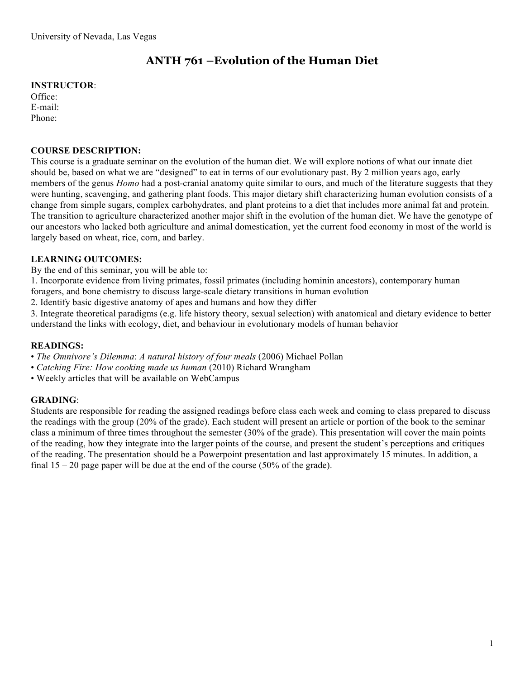# **ANTH 761 –Evolution of the Human Diet**

## **INSTRUCTOR**:

Office: E-mail: Phone:

## **COURSE DESCRIPTION:**

This course is a graduate seminar on the evolution of the human diet. We will explore notions of what our innate diet should be, based on what we are "designed" to eat in terms of our evolutionary past. By 2 million years ago, early members of the genus *Homo* had a post-cranial anatomy quite similar to ours, and much of the literature suggests that they were hunting, scavenging, and gathering plant foods. This major dietary shift characterizing human evolution consists of a change from simple sugars, complex carbohydrates, and plant proteins to a diet that includes more animal fat and protein. The transition to agriculture characterized another major shift in the evolution of the human diet. We have the genotype of our ancestors who lacked both agriculture and animal domestication, yet the current food economy in most of the world is largely based on wheat, rice, corn, and barley.

# **LEARNING OUTCOMES:**

By the end of this seminar, you will be able to:

1. Incorporate evidence from living primates, fossil primates (including hominin ancestors), contemporary human

foragers, and bone chemistry to discuss large-scale dietary transitions in human evolution

2. Identify basic digestive anatomy of apes and humans and how they differ

3. Integrate theoretical paradigms (e.g. life history theory, sexual selection) with anatomical and dietary evidence to better understand the links with ecology, diet, and behaviour in evolutionary models of human behavior

# **READINGS:**

• *The Omnivore's Dilemma*: *A natural history of four meals* (2006) Michael Pollan

- *Catching Fire: How cooking made us human* (2010) Richard Wrangham
- Weekly articles that will be available on WebCampus

# **GRADING**:

Students are responsible for reading the assigned readings before class each week and coming to class prepared to discuss the readings with the group (20% of the grade). Each student will present an article or portion of the book to the seminar class a minimum of three times throughout the semester (30% of the grade). This presentation will cover the main points of the reading, how they integrate into the larger points of the course, and present the student's perceptions and critiques of the reading. The presentation should be a Powerpoint presentation and last approximately 15 minutes. In addition, a final  $15 - 20$  page paper will be due at the end of the course (50% of the grade).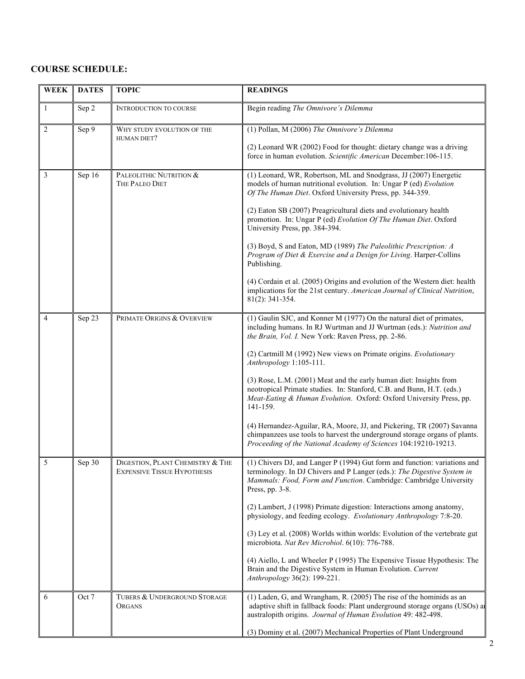### **COURSE SCHEDULE:**

| <b>WEEK</b>  | <b>DATES</b> | <b>TOPIC</b>                                                           | <b>READINGS</b>                                                                                                                                                                                                                              |
|--------------|--------------|------------------------------------------------------------------------|----------------------------------------------------------------------------------------------------------------------------------------------------------------------------------------------------------------------------------------------|
| $\mathbf{1}$ | Sep 2        | <b>INTRODUCTION TO COURSE</b>                                          | Begin reading The Omnivore's Dilemma                                                                                                                                                                                                         |
| 2            | Sep 9        | WHY STUDY EVOLUTION OF THE<br>HUMAN DIET?                              | (1) Pollan, M (2006) The Omnivore's Dilemma                                                                                                                                                                                                  |
|              |              |                                                                        | (2) Leonard WR (2002) Food for thought: dietary change was a driving<br>force in human evolution. Scientific American December: 106-115.                                                                                                     |
| 3            | Sep 16       | PALEOLITHIC NUTRITION &<br>THE PALEO DIET                              | (1) Leonard, WR, Robertson, ML and Snodgrass, JJ (2007) Energetic<br>models of human nutritional evolution. In: Ungar P (ed) Evolution<br>Of The Human Diet. Oxford University Press, pp. 344-359.                                           |
|              |              |                                                                        | (2) Eaton SB (2007) Preagricultural diets and evolutionary health<br>promotion. In: Ungar P (ed) Evolution Of The Human Diet. Oxford<br>University Press, pp. 384-394.                                                                       |
|              |              |                                                                        | (3) Boyd, S and Eaton, MD (1989) The Paleolithic Prescription: A<br>Program of Diet & Exercise and a Design for Living. Harper-Collins<br>Publishing.                                                                                        |
|              |              |                                                                        | (4) Cordain et al. (2005) Origins and evolution of the Western diet: health<br>implications for the 21st century. American Journal of Clinical Nutrition,<br>$81(2)$ : 341-354.                                                              |
| 4            | Sep 23       | PRIMATE ORIGINS & OVERVIEW                                             | (1) Gaulin SJC, and Konner M (1977) On the natural diet of primates,<br>including humans. In RJ Wurtman and JJ Wurtman (eds.): Nutrition and<br>the Brain, Vol. I. New York: Raven Press, pp. 2-86.                                          |
|              |              |                                                                        | (2) Cartmill M (1992) New views on Primate origins. Evolutionary<br>Anthropology 1:105-111.                                                                                                                                                  |
|              |              |                                                                        | (3) Rose, L.M. (2001) Meat and the early human diet: Insights from<br>neotropical Primate studies. In: Stanford, C.B. and Bunn, H.T. (eds.)<br>Meat-Eating & Human Evolution. Oxford: Oxford University Press, pp.<br>141-159.               |
|              |              |                                                                        | (4) Hernandez-Aguilar, RA, Moore, JJ, and Pickering, TR (2007) Savanna<br>chimpanzees use tools to harvest the underground storage organs of plants.<br>Proceeding of the National Academy of Sciences 104:19210-19213.                      |
| 5            | Sep 30       | DIGESTION, PLANT CHEMISTRY & THE<br><b>EXPENSIVE TISSUE HYPOTHESIS</b> | (1) Chivers DJ, and Langer P (1994) Gut form and function: variations and<br>terminology. In DJ Chivers and P Langer (eds.): The Digestive System in<br>Mammals: Food, Form and Function. Cambridge: Cambridge University<br>Press, pp. 3-8. |
|              |              |                                                                        | (2) Lambert, J (1998) Primate digestion: Interactions among anatomy,<br>physiology, and feeding ecology. Evolutionary Anthropology 7:8-20.                                                                                                   |
|              |              |                                                                        | (3) Ley et al. (2008) Worlds within worlds: Evolution of the vertebrate gut<br>microbiota. Nat Rev Microbiol. 6(10): 776-788.                                                                                                                |
|              |              |                                                                        | (4) Aiello, L and Wheeler P (1995) The Expensive Tissue Hypothesis: The<br>Brain and the Digestive System in Human Evolution. Current<br>Anthropology 36(2): 199-221.                                                                        |
| 6            | Oct 7        | TUBERS & UNDERGROUND STORAGE<br>ORGANS                                 | (1) Laden, G, and Wrangham, R. (2005) The rise of the hominids as an<br>adaptive shift in fallback foods: Plant underground storage organs (USOs) at<br>australopith origins. Journal of Human Evolution 49: 482-498.                        |
|              |              |                                                                        | (3) Dominy et al. (2007) Mechanical Properties of Plant Underground                                                                                                                                                                          |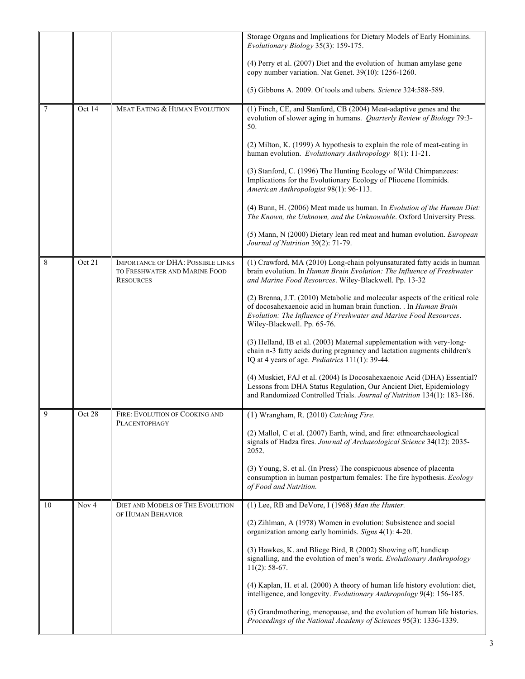|    |                      |                                                                                               | Storage Organs and Implications for Dietary Models of Early Hominins.<br>Evolutionary Biology 35(3): 159-175.                                                                                                                                         |
|----|----------------------|-----------------------------------------------------------------------------------------------|-------------------------------------------------------------------------------------------------------------------------------------------------------------------------------------------------------------------------------------------------------|
|    |                      |                                                                                               | (4) Perry et al. (2007) Diet and the evolution of human amylase gene<br>copy number variation. Nat Genet. 39(10): 1256-1260.                                                                                                                          |
|    |                      |                                                                                               | (5) Gibbons A. 2009. Of tools and tubers. Science 324:588-589.                                                                                                                                                                                        |
| 7  | Oct 14               | MEAT EATING & HUMAN EVOLUTION                                                                 | (1) Finch, CE, and Stanford, CB (2004) Meat-adaptive genes and the<br>evolution of slower aging in humans. Quarterly Review of Biology 79:3-<br>50.                                                                                                   |
|    |                      |                                                                                               | (2) Milton, K. (1999) A hypothesis to explain the role of meat-eating in<br>human evolution. Evolutionary Anthropology 8(1): 11-21.                                                                                                                   |
|    |                      |                                                                                               | (3) Stanford, C. (1996) The Hunting Ecology of Wild Chimpanzees:<br>Implications for the Evolutionary Ecology of Pliocene Hominids.<br>American Anthropologist 98(1): 96-113.                                                                         |
|    |                      |                                                                                               | (4) Bunn, H. (2006) Meat made us human. In Evolution of the Human Diet:<br>The Known, the Unknown, and the Unknowable. Oxford University Press.                                                                                                       |
|    |                      |                                                                                               | (5) Mann, N (2000) Dietary lean red meat and human evolution. European<br>Journal of Nutrition 39(2): 71-79.                                                                                                                                          |
| 8  | $\overline{O}$ ct 21 | <b>IMPORTANCE OF DHA: POSSIBLE LINKS</b><br>TO FRESHWATER AND MARINE FOOD<br><b>RESOURCES</b> | (1) Crawford, MA (2010) Long-chain polyunsaturated fatty acids in human<br>brain evolution. In Human Brain Evolution: The Influence of Freshwater<br>and Marine Food Resources. Wiley-Blackwell. Pp. 13-32                                            |
|    |                      |                                                                                               | (2) Brenna, J.T. (2010) Metabolic and molecular aspects of the critical role<br>of docosahexaenoic acid in human brain function. . In Human Brain<br>Evolution: The Influence of Freshwater and Marine Food Resources.<br>Wiley-Blackwell. Pp. 65-76. |
|    |                      |                                                                                               | (3) Helland, IB et al. (2003) Maternal supplementation with very-long-<br>chain n-3 fatty acids during pregnancy and lactation augments children's<br>IQ at 4 years of age. Pediatrics 111(1): 39-44.                                                 |
|    |                      |                                                                                               | (4) Muskiet, FAJ et al. (2004) Is Docosahexaenoic Acid (DHA) Essential?<br>Lessons from DHA Status Regulation, Our Ancient Diet, Epidemiology<br>and Randomized Controlled Trials. Journal of Nutrition 134(1): 183-186.                              |
|    | Oct 28               | FIRE: EVOLUTION OF COOKING AND<br>PLACENTOPHAGY                                               | (1) Wrangham, R. (2010) Catching Fire.                                                                                                                                                                                                                |
|    |                      |                                                                                               | (2) Mallol, C et al. (2007) Earth, wind, and fire: ethnoarchaeological<br>signals of Hadza fires. Journal of Archaeological Science 34(12): 2035-<br>2052.                                                                                            |
|    |                      |                                                                                               | (3) Young, S. et al. (In Press) The conspicuous absence of placenta<br>consumption in human postpartum females: The fire hypothesis. Ecology<br>of Food and Nutrition.                                                                                |
| 10 | Nov <sub>4</sub>     | <b>DIET AND MODELS OF THE EVOLUTION</b>                                                       | (1) Lee, RB and DeVore, I (1968) Man the Hunter.                                                                                                                                                                                                      |
|    |                      | OF HUMAN BEHAVIOR                                                                             | (2) Zihlman, A (1978) Women in evolution: Subsistence and social<br>organization among early hominids. Signs 4(1): 4-20.                                                                                                                              |
|    |                      |                                                                                               | (3) Hawkes, K. and Bliege Bird, R (2002) Showing off, handicap<br>signalling, and the evolution of men's work. Evolutionary Anthropology<br>$11(2)$ : 58-67.                                                                                          |
|    |                      |                                                                                               | (4) Kaplan, H. et al. (2000) A theory of human life history evolution: diet,<br>intelligence, and longevity. Evolutionary Anthropology 9(4): 156-185.                                                                                                 |
|    |                      |                                                                                               | (5) Grandmothering, menopause, and the evolution of human life histories.<br>Proceedings of the National Academy of Sciences 95(3): 1336-1339.                                                                                                        |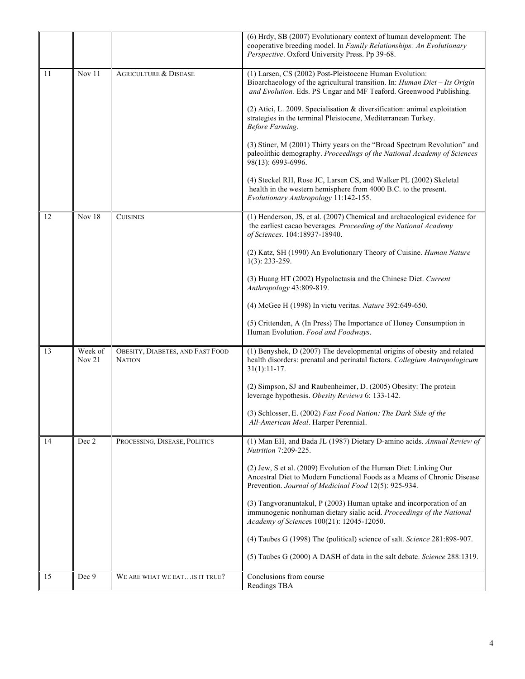|    |                   |                                                   | (6) Hrdy, SB (2007) Evolutionary context of human development: The<br>cooperative breeding model. In Family Relationships: An Evolutionary<br>Perspective. Oxford University Press. Pp 39-68.               |
|----|-------------------|---------------------------------------------------|-------------------------------------------------------------------------------------------------------------------------------------------------------------------------------------------------------------|
| 11 | Nov 11            | <b>AGRICULTURE &amp; DISEASE</b>                  | (1) Larsen, CS (2002) Post-Pleistocene Human Evolution:<br>Bioarchaeology of the agricultural transition. In: Human Diet - Its Origin<br>and Evolution. Eds. PS Ungar and MF Teaford. Greenwood Publishing. |
|    |                   |                                                   | $(2)$ Atici, L. 2009. Specialisation & diversification: animal exploitation<br>strategies in the terminal Pleistocene, Mediterranean Turkey.<br>Before Farming.                                             |
|    |                   |                                                   | (3) Stiner, M (2001) Thirty years on the "Broad Spectrum Revolution" and<br>paleolithic demography. Proceedings of the National Academy of Sciences<br>98(13): 6993-6996.                                   |
|    |                   |                                                   | (4) Steckel RH, Rose JC, Larsen CS, and Walker PL (2002) Skeletal<br>health in the western hemisphere from 4000 B.C. to the present.<br>Evolutionary Anthropology 11:142-155.                               |
| 12 | Nov 18            | <b>CUISINES</b>                                   | (1) Henderson, JS, et al. (2007) Chemical and archaeological evidence for<br>the earliest cacao beverages. Proceeding of the National Academy<br>of Sciences. 104:18937-18940.                              |
|    |                   |                                                   | (2) Katz, SH (1990) An Evolutionary Theory of Cuisine. Human Nature<br>$1(3)$ : 233-259.                                                                                                                    |
|    |                   |                                                   | (3) Huang HT (2002) Hypolactasia and the Chinese Diet. Current<br>Anthropology 43:809-819.                                                                                                                  |
|    |                   |                                                   | (4) McGee H (1998) In victu veritas. Nature 392:649-650.                                                                                                                                                    |
|    |                   |                                                   | (5) Crittenden, A (In Press) The Importance of Honey Consumption in<br>Human Evolution. Food and Foodways.                                                                                                  |
| 13 | Week of<br>Nov 21 | OBESITY, DIABETES, AND FAST FOOD<br><b>NATION</b> | (1) Benyshek, D (2007) The developmental origins of obesity and related<br>health disorders: prenatal and perinatal factors. Collegium Antropologicum<br>$31(1):11-17.$                                     |
|    |                   |                                                   | (2) Simpson, SJ and Raubenheimer, D. (2005) Obesity: The protein<br>leverage hypothesis. Obesity Reviews 6: 133-142.                                                                                        |
|    |                   |                                                   | (3) Schlosser, E. (2002) Fast Food Nation: The Dark Side of the<br>All-American Meal. Harper Perennial.                                                                                                     |
| 14 | Dec 2             | PROCESSING, DISEASE, POLITICS                     | (1) Man EH, and Bada JL (1987) Dietary D-amino acids. Annual Review of<br>Nutrition 7:209-225.                                                                                                              |
|    |                   |                                                   | (2) Jew, S et al. (2009) Evolution of the Human Diet: Linking Our<br>Ancestral Diet to Modern Functional Foods as a Means of Chronic Disease<br>Prevention. Journal of Medicinal Food 12(5): 925-934.       |
|    |                   |                                                   | (3) Tangvoranuntakul, P (2003) Human uptake and incorporation of an<br>immunogenic nonhuman dietary sialic acid. Proceedings of the National<br>Academy of Sciences 100(21): 12045-12050.                   |
|    |                   |                                                   | (4) Taubes G (1998) The (political) science of salt. Science 281:898-907.                                                                                                                                   |
|    |                   |                                                   | (5) Taubes G (2000) A DASH of data in the salt debate. Science 288:1319.                                                                                                                                    |
| 15 | Dec 9             | WE ARE WHAT WE EATIS IT TRUE?                     | Conclusions from course<br>Readings TBA                                                                                                                                                                     |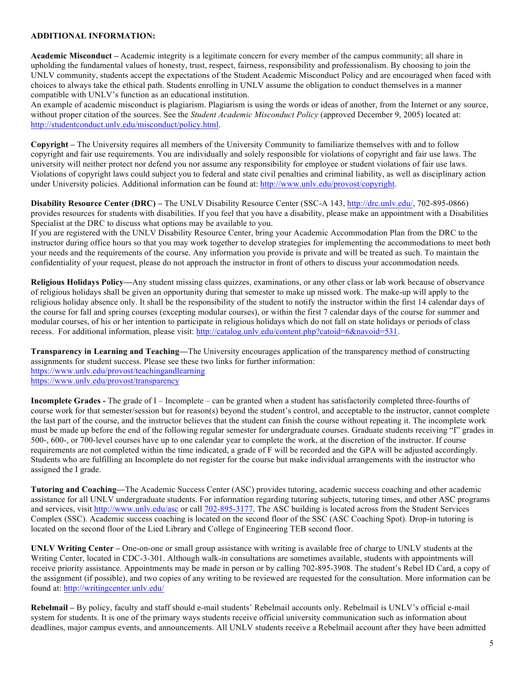#### **ADDITIONAL INFORMATION:**

**Academic Misconduct –** Academic integrity is a legitimate concern for every member of the campus community; all share in upholding the fundamental values of honesty, trust, respect, fairness, responsibility and professionalism. By choosing to join the UNLV community, students accept the expectations of the Student Academic Misconduct Policy and are encouraged when faced with choices to always take the ethical path. Students enrolling in UNLV assume the obligation to conduct themselves in a manner compatible with UNLV's function as an educational institution.

An example of academic misconduct is plagiarism. Plagiarism is using the words or ideas of another, from the Internet or any source, without proper citation of the sources. See the *Student Academic Misconduct Policy* (approved December 9, 2005) located at: http://studentconduct.unlv.edu/misconduct/policy.html.

**Copyright –** The University requires all members of the University Community to familiarize themselves with and to follow copyright and fair use requirements. You are individually and solely responsible for violations of copyright and fair use laws. The university will neither protect nor defend you nor assume any responsibility for employee or student violations of fair use laws. Violations of copyright laws could subject you to federal and state civil penalties and criminal liability, as well as disciplinary action under University policies. Additional information can be found at: http://www.unlv.edu/provost/copyright.

**Disability Resource Center (DRC) –** The UNLV Disability Resource Center (SSC-A 143, http://drc.unlv.edu/, 702-895-0866) provides resources for students with disabilities. If you feel that you have a disability, please make an appointment with a Disabilities Specialist at the DRC to discuss what options may be available to you.

If you are registered with the UNLV Disability Resource Center, bring your Academic Accommodation Plan from the DRC to the instructor during office hours so that you may work together to develop strategies for implementing the accommodations to meet both your needs and the requirements of the course. Any information you provide is private and will be treated as such. To maintain the confidentiality of your request, please do not approach the instructor in front of others to discuss your accommodation needs.

**Religious Holidays Policy—**Any student missing class quizzes, examinations, or any other class or lab work because of observance of religious holidays shall be given an opportunity during that semester to make up missed work. The make-up will apply to the religious holiday absence only. It shall be the responsibility of the student to notify the instructor within the first 14 calendar days of the course for fall and spring courses (excepting modular courses), or within the first 7 calendar days of the course for summer and modular courses, of his or her intention to participate in religious holidays which do not fall on state holidays or periods of class recess. For additional information, please visit: http://catalog.unlv.edu/content.php?catoid=6&navoid=531.

**Transparency in Learning and Teaching—**The University encourages application of the transparency method of constructing assignments for student success. Please see these two links for further information: https://www.unlv.edu/provost/teachingandlearning https://www.unlv.edu/provost/transparency

**Incomplete Grades -** The grade of I – Incomplete – can be granted when a student has satisfactorily completed three-fourths of course work for that semester/session but for reason(s) beyond the student's control, and acceptable to the instructor, cannot complete the last part of the course, and the instructor believes that the student can finish the course without repeating it. The incomplete work must be made up before the end of the following regular semester for undergraduate courses. Graduate students receiving "I" grades in 500-, 600-, or 700-level courses have up to one calendar year to complete the work, at the discretion of the instructor. If course requirements are not completed within the time indicated, a grade of F will be recorded and the GPA will be adjusted accordingly. Students who are fulfilling an Incomplete do not register for the course but make individual arrangements with the instructor who assigned the I grade.

**Tutoring and Coaching—**The Academic Success Center (ASC) provides tutoring, academic success coaching and other academic assistance for all UNLV undergraduate students. For information regarding tutoring subjects, tutoring times, and other ASC programs and services, visit http://www.unlv.edu/asc or call 702-895-3177. The ASC building is located across from the Student Services Complex (SSC). Academic success coaching is located on the second floor of the SSC (ASC Coaching Spot). Drop-in tutoring is located on the second floor of the Lied Library and College of Engineering TEB second floor.

**UNLV Writing Center –** One-on-one or small group assistance with writing is available free of charge to UNLV students at the Writing Center, located in CDC-3-301. Although walk-in consultations are sometimes available, students with appointments will receive priority assistance. Appointments may be made in person or by calling 702-895-3908. The student's Rebel ID Card, a copy of the assignment (if possible), and two copies of any writing to be reviewed are requested for the consultation. More information can be found at: http://writingcenter.unlv.edu/

**Rebelmail –** By policy, faculty and staff should e-mail students' Rebelmail accounts only. Rebelmail is UNLV's official e-mail system for students. It is one of the primary ways students receive official university communication such as information about deadlines, major campus events, and announcements. All UNLV students receive a Rebelmail account after they have been admitted